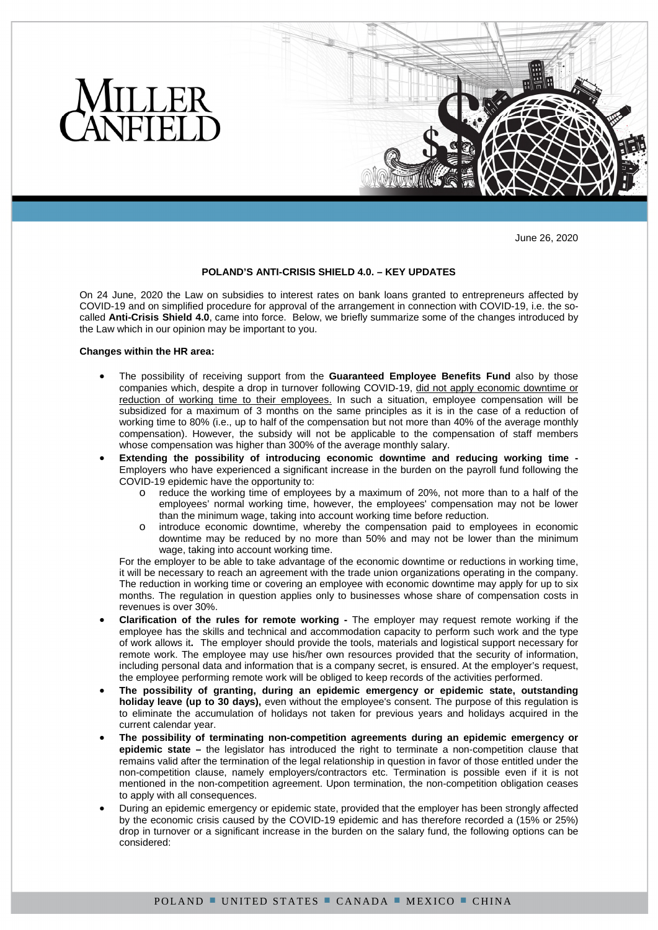

June 26, 2020

# **POLAND'S ANTI-CRISIS SHIELD 4.0. – KEY UPDATES**

On 24 June, 2020 the Law on subsidies to interest rates on bank loans granted to entrepreneurs affected by COVID-19 and on simplified procedure for approval of the arrangement in connection with COVID-19, i.e. the socalled **Anti-Crisis Shield 4.0**, came into force. Below, we briefly summarize some of the changes introduced by the Law which in our opinion may be important to you.

#### **Changes within the HR area:**

- The possibility of receiving support from the **Guaranteed Employee Benefits Fund** also by those companies which, despite a drop in turnover following COVID-19, did not apply economic downtime or reduction of working time to their employees. In such a situation, employee compensation will be subsidized for a maximum of 3 months on the same principles as it is in the case of a reduction of working time to 80% (i.e., up to half of the compensation but not more than 40% of the average monthly compensation). However, the subsidy will not be applicable to the compensation of staff members whose compensation was higher than 300% of the average monthly salary.
- **Extending the possibility of introducing economic downtime and reducing working time**  Employers who have experienced a significant increase in the burden on the payroll fund following the COVID-19 epidemic have the opportunity to:
	- o reduce the working time of employees by a maximum of 20%, not more than to a half of the employees' normal working time, however, the employees' compensation may not be lower than the minimum wage, taking into account working time before reduction.
	- o introduce economic downtime, whereby the compensation paid to employees in economic downtime may be reduced by no more than 50% and may not be lower than the minimum wage, taking into account working time.

For the employer to be able to take advantage of the economic downtime or reductions in working time, it will be necessary to reach an agreement with the trade union organizations operating in the company. The reduction in working time or covering an employee with economic downtime may apply for up to six months. The regulation in question applies only to businesses whose share of compensation costs in revenues is over 30%.

- **Clarification of the rules for remote working** The employer may request remote working if the employee has the skills and technical and accommodation capacity to perform such work and the type of work allows it**.** The employer should provide the tools, materials and logistical support necessary for remote work. The employee may use his/her own resources provided that the security of information, including personal data and information that is a company secret, is ensured. At the employer's request, the employee performing remote work will be obliged to keep records of the activities performed.
- **The possibility of granting, during an epidemic emergency or epidemic state, outstanding holiday leave (up to 30 days),** even without the employee's consent. The purpose of this regulation is to eliminate the accumulation of holidays not taken for previous years and holidays acquired in the current calendar year.
- **The possibility of terminating non-competition agreements during an epidemic emergency or epidemic state –** the legislator has introduced the right to terminate a non-competition clause that remains valid after the termination of the legal relationship in question in favor of those entitled under the non-competition clause, namely employers/contractors etc. Termination is possible even if it is not mentioned in the non-competition agreement. Upon termination, the non-competition obligation ceases to apply with all consequences.
- During an epidemic emergency or epidemic state, provided that the employer has been strongly affected by the economic crisis caused by the COVID-19 epidemic and has therefore recorded a (15% or 25%) drop in turnover or a significant increase in the burden on the salary fund, the following options can be considered: